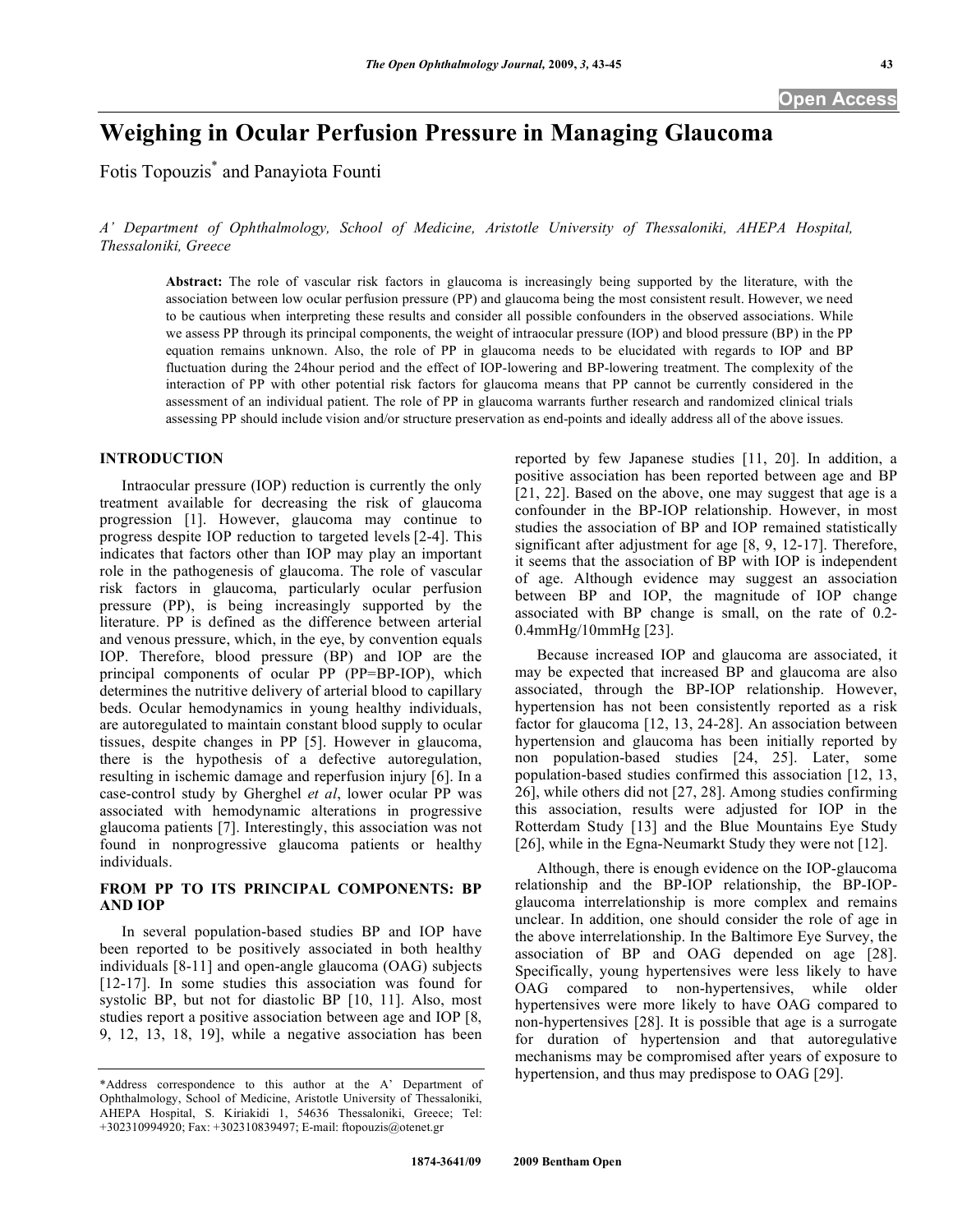# **Weighing in Ocular Perfusion Pressure in Managing Glaucoma**

Fotis Topouzis\* and Panayiota Founti

*A' Department of Ophthalmology, School of Medicine, Aristotle University of Thessaloniki, AHEPA Hospital, Thessaloniki, Greece* 

**Abstract:** The role of vascular risk factors in glaucoma is increasingly being supported by the literature, with the association between low ocular perfusion pressure (PP) and glaucoma being the most consistent result. However, we need to be cautious when interpreting these results and consider all possible confounders in the observed associations. While we assess PP through its principal components, the weight of intraocular pressure (IOP) and blood pressure (BP) in the PP equation remains unknown. Also, the role of PP in glaucoma needs to be elucidated with regards to IOP and BP fluctuation during the 24hour period and the effect of IOP-lowering and BP-lowering treatment. The complexity of the interaction of PP with other potential risk factors for glaucoma means that PP cannot be currently considered in the assessment of an individual patient. The role of PP in glaucoma warrants further research and randomized clinical trials assessing PP should include vision and/or structure preservation as end-points and ideally address all of the above issues.

### **INTRODUCTION**

 Intraocular pressure (IOP) reduction is currently the only treatment available for decreasing the risk of glaucoma progression [1]. However, glaucoma may continue to progress despite IOP reduction to targeted levels [2-4]. This indicates that factors other than IOP may play an important role in the pathogenesis of glaucoma. The role of vascular risk factors in glaucoma, particularly ocular perfusion pressure (PP), is being increasingly supported by the literature. PP is defined as the difference between arterial and venous pressure, which, in the eye, by convention equals IOP. Therefore, blood pressure (BP) and IOP are the principal components of ocular PP (PP=BP-IOP), which determines the nutritive delivery of arterial blood to capillary beds. Ocular hemodynamics in young healthy individuals, are autoregulated to maintain constant blood supply to ocular tissues, despite changes in PP [5]. However in glaucoma, there is the hypothesis of a defective autoregulation, resulting in ischemic damage and reperfusion injury [6]. In a case-control study by Gherghel *et al*, lower ocular PP was associated with hemodynamic alterations in progressive glaucoma patients [7]. Interestingly, this association was not found in nonprogressive glaucoma patients or healthy individuals.

## **FROM PP TO ITS PRINCIPAL COMPONENTS: BP AND IOP**

In several population-based studies BP and IOP have been reported to be positively associated in both healthy individuals [8-11] and open-angle glaucoma (OAG) subjects [12-17]. In some studies this association was found for systolic BP, but not for diastolic BP [10, 11]. Also, most studies report a positive association between age and IOP [8, 9, 12, 13, 18, 19], while a negative association has been

reported by few Japanese studies [11, 20]. In addition, a positive association has been reported between age and BP [21, 22]. Based on the above, one may suggest that age is a confounder in the BP-IOP relationship. However, in most studies the association of BP and IOP remained statistically significant after adjustment for age [8, 9, 12-17]. Therefore, it seems that the association of BP with IOP is independent of age. Although evidence may suggest an association between BP and IOP, the magnitude of IOP change associated with BP change is small, on the rate of 0.2- 0.4mmHg/10mmHg [23].

 Because increased IOP and glaucoma are associated, it may be expected that increased BP and glaucoma are also associated, through the BP-IOP relationship. However, hypertension has not been consistently reported as a risk factor for glaucoma [12, 13, 24-28]. An association between hypertension and glaucoma has been initially reported by non population-based studies [24, 25]. Later, some population-based studies confirmed this association [12, 13, 26], while others did not [27, 28]. Among studies confirming this association, results were adjusted for IOP in the Rotterdam Study [13] and the Blue Mountains Eye Study [26], while in the Egna-Neumarkt Study they were not [12].

 Although, there is enough evidence on the IOP-glaucoma relationship and the BP-IOP relationship, the BP-IOPglaucoma interrelationship is more complex and remains unclear. In addition, one should consider the role of age in the above interrelationship. In the Baltimore Eye Survey, the association of BP and OAG depended on age [28]. Specifically, young hypertensives were less likely to have OAG compared to non-hypertensives, while older hypertensives were more likely to have OAG compared to non-hypertensives [28]. It is possible that age is a surrogate for duration of hypertension and that autoregulative mechanisms may be compromised after years of exposure to hypertension, and thus may predispose to OAG [29].

<sup>\*</sup>Address correspondence to this author at the A' Department of Ophthalmology, School of Medicine, Aristotle University of Thessaloniki, AHEPA Hospital, S. Kiriakidi 1, 54636 Thessaloniki, Greece; Tel: +302310994920; Fax: +302310839497; E-mail: ftopouzis@otenet.gr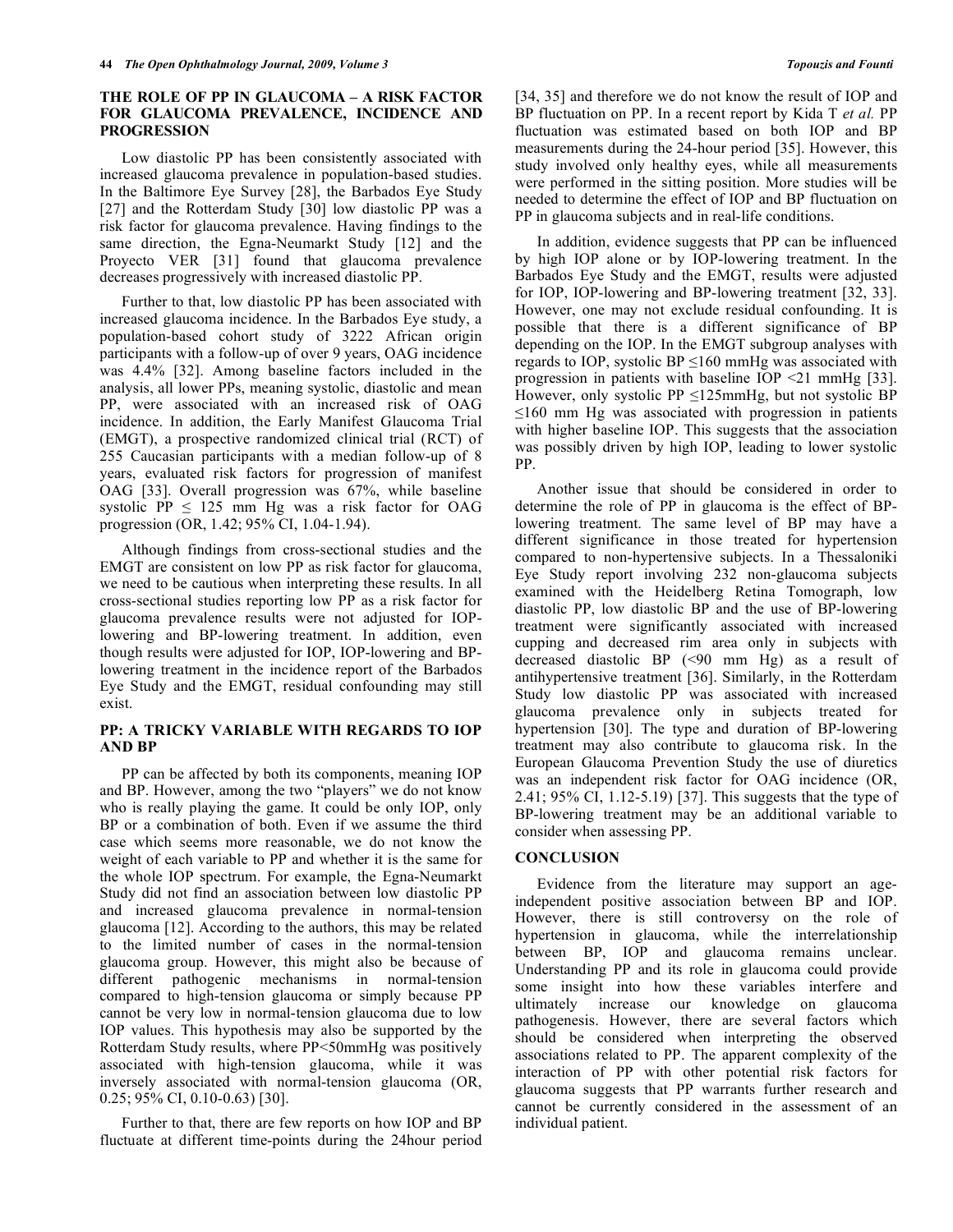## **THE ROLE OF PP IN GLAUCOMA – A RISK FACTOR FOR GLAUCOMA PREVALENCE, INCIDENCE AND PROGRESSION**

Low diastolic PP has been consistently associated with increased glaucoma prevalence in population-based studies. In the Baltimore Eye Survey [28], the Barbados Eye Study [27] and the Rotterdam Study [30] low diastolic PP was a risk factor for glaucoma prevalence. Having findings to the same direction, the Egna-Neumarkt Study [12] and the Proyecto VER [31] found that glaucoma prevalence decreases progressively with increased diastolic PP.

 Further to that, low diastolic PP has been associated with increased glaucoma incidence. In the Barbados Eye study, a population-based cohort study of 3222 African origin participants with a follow-up of over 9 years, OAG incidence was 4.4% [32]. Among baseline factors included in the analysis, all lower PPs, meaning systolic, diastolic and mean PP, were associated with an increased risk of OAG incidence. In addition, the Early Manifest Glaucoma Trial (EMGT), a prospective randomized clinical trial (RCT) of 255 Caucasian participants with a median follow-up of 8 years, evaluated risk factors for progression of manifest OAG [33]. Overall progression was 67%, while baseline systolic PP  $\leq$  125 mm Hg was a risk factor for OAG progression (OR, 1.42; 95% CI, 1.04-1.94).

 Although findings from cross-sectional studies and the EMGT are consistent on low PP as risk factor for glaucoma, we need to be cautious when interpreting these results. In all cross-sectional studies reporting low PP as a risk factor for glaucoma prevalence results were not adjusted for IOPlowering and BP-lowering treatment. In addition, even though results were adjusted for IOP, IOP-lowering and BPlowering treatment in the incidence report of the Barbados Eye Study and the EMGT, residual confounding may still exist.

## **PP: A TRICKY VARIABLE WITH REGARDS TO IOP AND BP**

 PP can be affected by both its components, meaning IOP and BP. However, among the two "players" we do not know who is really playing the game. It could be only IOP, only BP or a combination of both. Even if we assume the third case which seems more reasonable, we do not know the weight of each variable to PP and whether it is the same for the whole IOP spectrum. For example, the Egna-Neumarkt Study did not find an association between low diastolic PP and increased glaucoma prevalence in normal-tension glaucoma [12]. According to the authors, this may be related to the limited number of cases in the normal-tension glaucoma group. However, this might also be because of different pathogenic mechanisms in normal-tension compared to high-tension glaucoma or simply because PP cannot be very low in normal-tension glaucoma due to low IOP values. This hypothesis may also be supported by the Rotterdam Study results, where PP<50mmHg was positively associated with high-tension glaucoma, while it was inversely associated with normal-tension glaucoma (OR, 0.25; 95% CI, 0.10-0.63) [30].

 Further to that, there are few reports on how IOP and BP fluctuate at different time-points during the 24hour period [34, 35] and therefore we do not know the result of IOP and BP fluctuation on PP. In a recent report by Kida T *et al.* PP fluctuation was estimated based on both IOP and BP measurements during the 24-hour period [35]. However, this study involved only healthy eyes, while all measurements were performed in the sitting position. More studies will be needed to determine the effect of IOP and BP fluctuation on PP in glaucoma subjects and in real-life conditions.

 In addition, evidence suggests that PP can be influenced by high IOP alone or by IOP-lowering treatment. In the Barbados Eye Study and the EMGT, results were adjusted for IOP, IOP-lowering and BP-lowering treatment [32, 33]. However, one may not exclude residual confounding. It is possible that there is a different significance of BP depending on the IOP. In the EMGT subgroup analyses with regards to IOP, systolic BP  $\leq 160$  mmHg was associated with progression in patients with baseline IOP <21 mmHg [33]. However, only systolic PP  $\leq$ 125mmHg, but not systolic BP  $\leq 160$  mm Hg was associated with progression in patients with higher baseline IOP. This suggests that the association was possibly driven by high IOP, leading to lower systolic PP.

 Another issue that should be considered in order to determine the role of PP in glaucoma is the effect of BPlowering treatment. The same level of BP may have a different significance in those treated for hypertension compared to non-hypertensive subjects. In a Thessaloniki Eye Study report involving 232 non-glaucoma subjects examined with the Heidelberg Retina Tomograph, low diastolic PP, low diastolic BP and the use of BP-lowering treatment were significantly associated with increased cupping and decreased rim area only in subjects with decreased diastolic BP (<90 mm Hg) as a result of antihypertensive treatment [36]. Similarly, in the Rotterdam Study low diastolic PP was associated with increased glaucoma prevalence only in subjects treated for hypertension [30]. The type and duration of BP-lowering treatment may also contribute to glaucoma risk. In the European Glaucoma Prevention Study the use of diuretics was an independent risk factor for OAG incidence (OR, 2.41; 95% CI, 1.12-5.19) [37]. This suggests that the type of BP-lowering treatment may be an additional variable to consider when assessing PP.

#### **CONCLUSION**

 Evidence from the literature may support an ageindependent positive association between BP and IOP. However, there is still controversy on the role of hypertension in glaucoma, while the interrelationship between BP, IOP and glaucoma remains unclear. Understanding PP and its role in glaucoma could provide some insight into how these variables interfere and ultimately increase our knowledge on glaucoma pathogenesis. However, there are several factors which should be considered when interpreting the observed associations related to PP. The apparent complexity of the interaction of PP with other potential risk factors for glaucoma suggests that PP warrants further research and cannot be currently considered in the assessment of an individual patient.